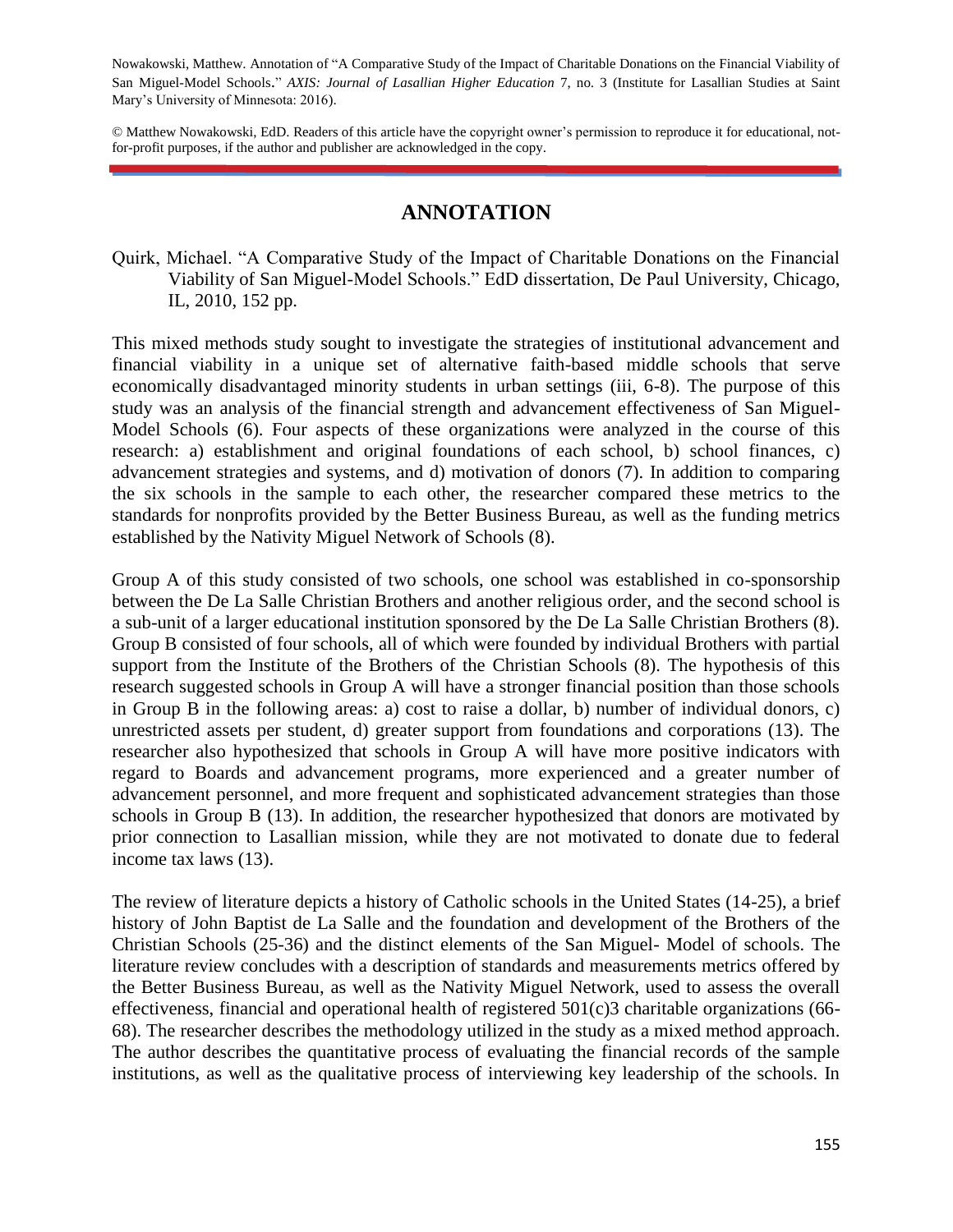Nowakowski, Matthew. Annotation of "A Comparative Study of the Impact of Charitable Donations on the Financial Viability of San Miguel-Model Schools." *AXIS: Journal of Lasallian Higher Education* 7, no. 3 (Institute for Lasallian Studies at Saint Mary's University of Minnesota: 2016).

© Matthew Nowakowski, EdD. Readers of this article have the copyright owner's permission to reproduce it for educational, notfor-profit purposes, if the author and publisher are acknowledged in the copy.

## **ANNOTATION**

Quirk, Michael. "A Comparative Study of the Impact of Charitable Donations on the Financial Viability of San Miguel-Model Schools." EdD dissertation, De Paul University, Chicago, IL, 2010, 152 pp.

This mixed methods study sought to investigate the strategies of institutional advancement and financial viability in a unique set of alternative faith-based middle schools that serve economically disadvantaged minority students in urban settings (iii, 6-8). The purpose of this study was an analysis of the financial strength and advancement effectiveness of San Miguel-Model Schools (6). Four aspects of these organizations were analyzed in the course of this research: a) establishment and original foundations of each school, b) school finances, c) advancement strategies and systems, and d) motivation of donors (7). In addition to comparing the six schools in the sample to each other, the researcher compared these metrics to the standards for nonprofits provided by the Better Business Bureau, as well as the funding metrics established by the Nativity Miguel Network of Schools (8).

Group A of this study consisted of two schools, one school was established in co-sponsorship between the De La Salle Christian Brothers and another religious order, and the second school is a sub-unit of a larger educational institution sponsored by the De La Salle Christian Brothers (8). Group B consisted of four schools, all of which were founded by individual Brothers with partial support from the Institute of the Brothers of the Christian Schools (8). The hypothesis of this research suggested schools in Group A will have a stronger financial position than those schools in Group B in the following areas: a) cost to raise a dollar, b) number of individual donors, c) unrestricted assets per student, d) greater support from foundations and corporations (13). The researcher also hypothesized that schools in Group A will have more positive indicators with regard to Boards and advancement programs, more experienced and a greater number of advancement personnel, and more frequent and sophisticated advancement strategies than those schools in Group B (13). In addition, the researcher hypothesized that donors are motivated by prior connection to Lasallian mission, while they are not motivated to donate due to federal income tax laws (13).

The review of literature depicts a history of Catholic schools in the United States (14-25), a brief history of John Baptist de La Salle and the foundation and development of the Brothers of the Christian Schools (25-36) and the distinct elements of the San Miguel- Model of schools. The literature review concludes with a description of standards and measurements metrics offered by the Better Business Bureau, as well as the Nativity Miguel Network, used to assess the overall effectiveness, financial and operational health of registered 501(c)3 charitable organizations (66- 68). The researcher describes the methodology utilized in the study as a mixed method approach. The author describes the quantitative process of evaluating the financial records of the sample institutions, as well as the qualitative process of interviewing key leadership of the schools. In